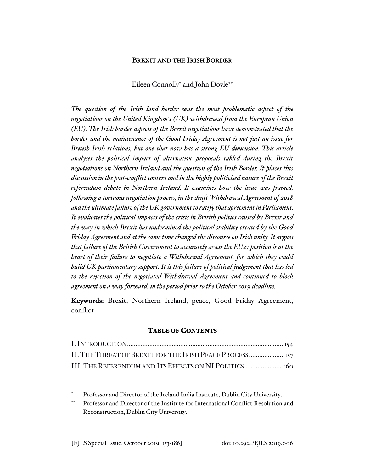## BREXIT AND THE IRISH BORDER

Eileen Connolly\* and John Doyle\*\*

*The question of the Irish land border was the most problematic aspect of the negotiations on the United Kingdom's (UK) withdrawal from the European Union (EU). The Irish border aspects of the Brexit negotiations have demonstrated that the border and the maintenance of the Good Friday Agreement is not just an issue for British-Irish relations, but one that now has a strong EU dimension. This article analyses the political impact of alternative proposals tabled during the Brexit negotiations on Northern Ireland and the question of the Irish Border. It places this discussion in the post-conflict context and in the highly politicised nature of the Brexit referendum debate in Northern Ireland. It examines how the issue was framed, following a tortuous negotiation process, in the draft Withdrawal Agreement of 2018 and the ultimate failure of the UK government to ratify that agreement in Parliament. It evaluates the political impacts of the crisis in British politics caused by Brexit and the way in which Brexit has undermined the political stability created by the Good Friday Agreement and at the same time changed the discourse on Irish unity. It argues that failure of the British Government to accurately assess the EU27 position is at the heart of their failure to negotiate a Withdrawal Agreement, for which they could build UK parliamentary support. It is this failure of political judgement that has led to the rejection of the negotiated Withdrawal Agreement and continued to block agreement on a way forward, in the period prior to the October 2019 deadline.*

Keywords: Brexit, Northern Ireland, peace, Good Friday Agreement, conflict

#### **TABLE OF CONTENTS**

| II. THE THREAT OF BREXIT FOR THE IRISH PEACE PROCESS 157 |  |
|----------------------------------------------------------|--|
| III. THE REFERENDUM AND ITS EFFECTS ON NI POLITICS  160  |  |

Professor and Director of the Ireland India Institute, Dublin City University.

Professor and Director of the Institute for International Conflict Resolution and Reconstruction, Dublin City University.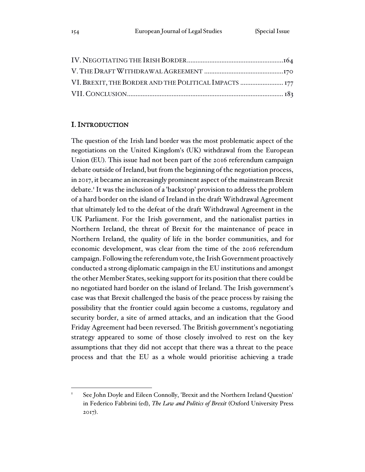| VI. BREXIT, THE BORDER AND THE POLITICAL IMPACTS  177 |  |
|-------------------------------------------------------|--|
|                                                       |  |

# I. INTRODUCTION

The question of the Irish land border was the most problematic aspect of the negotiations on the United Kingdom's (UK) withdrawal from the European Union (EU). This issue had not been part of the 2016 referendum campaign debate outside of Ireland, but from the beginning of the negotiation process, in 2017, it became an increasingly prominent aspect of the mainstream Brexit debate.<sup>1</sup> It was the inclusion of a 'backstop' provision to address the problem of a hard border on the island of Ireland in the draft Withdrawal Agreement that ultimately led to the defeat of the draft Withdrawal Agreement in the UK Parliament. For the Irish government, and the nationalist parties in Northern Ireland, the threat of Brexit for the maintenance of peace in Northern Ireland, the quality of life in the border communities, and for economic development, was clear from the time of the 2016 referendum campaign. Following the referendum vote, the Irish Government proactively conducted a strong diplomatic campaign in the EU institutions and amongst the other Member States, seeking support for its position that there could be no negotiated hard border on the island of Ireland. The Irish government's case was that Brexit challenged the basis of the peace process by raising the possibility that the frontier could again become a customs, regulatory and security border, a site of armed attacks, and an indication that the Good Friday Agreement had been reversed. The British government's negotiating strategy appeared to some of those closely involved to rest on the key assumptions that they did not accept that there was a threat to the peace process and that the EU as a whole would prioritise achieving a trade

See John Doyle and Eileen Connolly, 'Brexit and the Northern Ireland Question' in Federico Fabbrini (ed), *The Law and Politics of Brexit* (Oxford University Press 2017).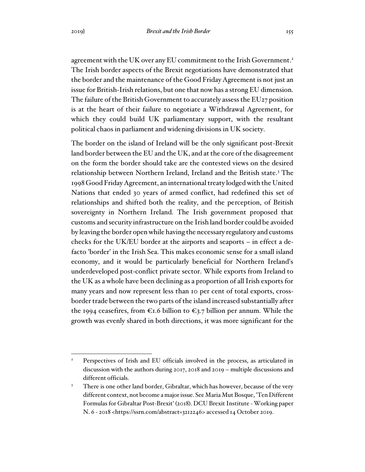agreement with the UK over any EU commitment to the Irish Government.<sup>2</sup> The Irish border aspects of the Brexit negotiations have demonstrated that the border and the maintenance of the Good Friday Agreement is not just an issue for British-Irish relations, but one that now has a strong EU dimension. The failure of the British Government to accurately assess the EU27 position is at the heart of their failure to negotiate a Withdrawal Agreement, for which they could build UK parliamentary support, with the resultant political chaos in parliament and widening divisions in UK society.

The border on the island of Ireland will be the only significant post-Brexit land border between the EU and the UK, and at the core of the disagreement on the form the border should take are the contested views on the desired relationship between Northern Ireland, Ireland and the British state.<sup>3</sup> The 1998 Good Friday Agreement, an international treaty lodged with the United Nations that ended 30 years of armed conflict, had redefined this set of relationships and shifted both the reality, and the perception, of British sovereignty in Northern Ireland. The Irish government proposed that customs and security infrastructure on the Irish land border could be avoided by leaving the border open while having the necessary regulatory and customs checks for the UK/EU border at the airports and seaports – in effect a defacto 'border' in the Irish Sea. This makes economic sense for a small island economy, and it would be particularly beneficial for Northern Ireland's underdeveloped post-conflict private sector. While exports from Ireland to the UK as a whole have been declining as a proportion of all Irish exports for many years and now represent less than 10 per cent of total exports, crossborder trade between the two parts of the island increased substantially after the 1994 ceasefires, from  $\epsilon$ 1.6 billion to  $\epsilon$ 3.7 billion per annum. While the growth was evenly shared in both directions, it was more significant for the

Perspectives of Irish and EU officials involved in the process, as articulated in discussion with the authors during 2017, 2018 and 2019 – multiple discussions and different officials.

<sup>&</sup>lt;sup>3</sup> There is one other land border, Gibraltar, which has however, because of the very different context, not become a major issue. See Maria Mut Bosque, 'Ten Different Formulas for Gibraltar Post-Brexit' (2018). DCU Brexit Institute - Working paper N. 6 - 2018 <https://ssrn.com/abstract=3212246> accessed 14 October 2019.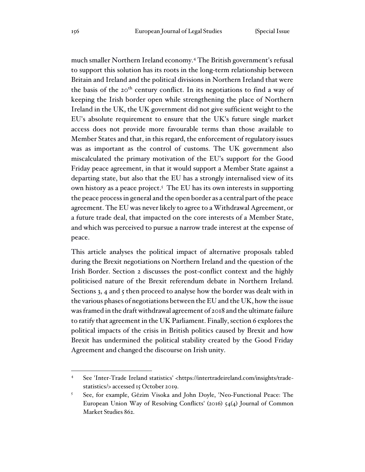much smaller Northern Ireland economy.<sup>4</sup> The British government's refusal to support this solution has its roots in the long-term relationship between Britain and Ireland and the political divisions in Northern Ireland that were the basis of the 20<sup>th</sup> century conflict. In its negotiations to find a way of keeping the Irish border open while strengthening the place of Northern Ireland in the UK, the UK government did not give sufficient weight to the EU's absolute requirement to ensure that the UK's future single market access does not provide more favourable terms than those available to Member States and that, in this regard, the enforcement of regulatory issues was as important as the control of customs. The UK government also miscalculated the primary motivation of the EU's support for the Good Friday peace agreement, in that it would support a Member State against a departing state, but also that the EU has a strongly internalised view of its own history as a peace project.<sup>5</sup> The EU has its own interests in supporting the peace process in general and the open border as a central part of the peace agreement. The EU was never likely to agree to a Withdrawal Agreement, or a future trade deal, that impacted on the core interests of a Member State, and which was perceived to pursue a narrow trade interest at the expense of peace.

This article analyses the political impact of alternative proposals tabled during the Brexit negotiations on Northern Ireland and the question of the Irish Border. Section 2 discusses the post-conflict context and the highly politicised nature of the Brexit referendum debate in Northern Ireland. Sections 3, 4 and 5 then proceed to analyse how the border was dealt with in the various phases of negotiations between the EU and the UK, how the issue was framed in the draft withdrawal agreement of 2018 and the ultimate failure to ratify that agreement in the UK Parliament. Finally, section 6 explores the political impacts of the crisis in British politics caused by Brexit and how Brexit has undermined the political stability created by the Good Friday Agreement and changed the discourse on Irish unity.

<sup>4</sup> See 'Inter-Trade Ireland statistics' <https://intertradeireland.com/insights/tradestatistics/> accessed 15 October 2019.

<sup>5</sup> See, for example, Gëzim Visoka and John Doyle, 'Neo-Functional Peace: The European Union Way of Resolving Conflicts' (2016) 54(4) Journal of Common Market Studies 862.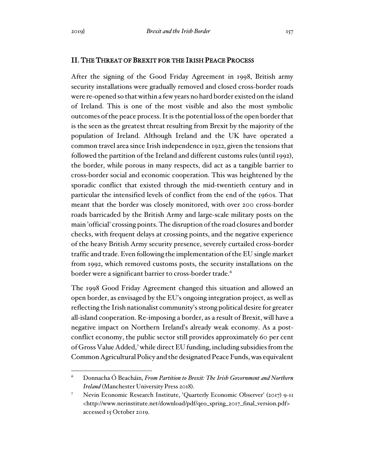## II. THE THREAT OF BREXIT FOR THE IRISH PEACE PROCESS

After the signing of the Good Friday Agreement in 1998, British army security installations were gradually removed and closed cross-border roads were re-opened so that within a few years no hard border existed on the island of Ireland. This is one of the most visible and also the most symbolic outcomes of the peace process. It is the potential loss of the open border that is the seen as the greatest threat resulting from Brexit by the majority of the population of Ireland. Although Ireland and the UK have operated a common travel area since Irish independence in 1922, given the tensions that followed the partition of the Ireland and different customs rules (until 1992), the border, while porous in many respects, did act as a tangible barrier to cross-border social and economic cooperation. This was heightened by the sporadic conflict that existed through the mid-twentieth century and in particular the intensified levels of conflict from the end of the 1960s. That meant that the border was closely monitored, with over 200 cross-border roads barricaded by the British Army and large-scale military posts on the main 'official' crossing points. The disruption of the road closures and border checks, with frequent delays at crossing points, and the negative experience of the heavy British Army security presence, severely curtailed cross-border traffic and trade. Even following the implementation of the EU single market from 1992, which removed customs posts, the security installations on the border were a significant barrier to cross-border trade.<sup>6</sup>

The 1998 Good Friday Agreement changed this situation and allowed an open border, as envisaged by the EU's ongoing integration project, as well as reflecting the Irish nationalist community's strong political desire for greater all-island cooperation. Re-imposing a border, as a result of Brexit, will have a negative impact on Northern Ireland's already weak economy. As a postconflict economy, the public sector still provides approximately 60 per cent of Gross Value Added,<sup>7</sup>while direct EU funding, including subsidies from the Common Agricultural Policy and the designated Peace Funds, was equivalent

<sup>6</sup> Donnacha Ó Beacháin, *From Partition to Brexit: The Irish Government and Northern Ireland* (Manchester University Press 2018).

<sup>7</sup> Nevin Economic Research Institute, 'Quarterly Economic Observer' (2017) 9-11 <http://www.nerinstitute.net/download/pdf/qeo\_spring\_2017\_final\_version.pdf> accessed 15 October 2019.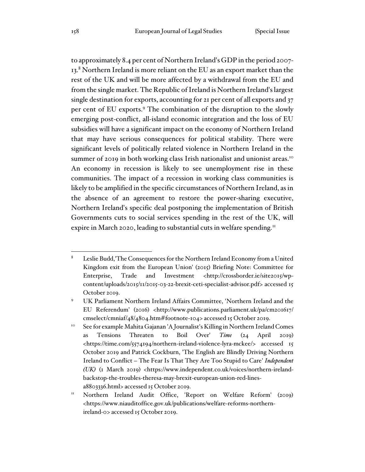to approximately 8.4 per cent of Northern Ireland's GDP in the period 2007- 13.8 Northern Ireland is more reliant on the EU as an export market than the rest of the UK and will be more affected by a withdrawal from the EU and from the single market. The Republic of Ireland is Northern Ireland's largest single destination for exports, accounting for 21 per cent of all exports and 37 per cent of EU exports.<sup>9</sup> The combination of the disruption to the slowly emerging post-conflict, all-island economic integration and the loss of EU subsidies will have a significant impact on the economy of Northern Ireland that may have serious consequences for political stability. There were significant levels of politically related violence in Northern Ireland in the summer of 2019 in both working class Irish nationalist and unionist areas.<sup>10</sup> An economy in recession is likely to see unemployment rise in these communities. The impact of a recession in working class communities is likely to be amplified in the specific circumstances of Northern Ireland, as in the absence of an agreement to restore the power-sharing executive, Northern Ireland's specific deal postponing the implementation of British Governments cuts to social services spending in the rest of the UK, will expire in March 2020, leading to substantial cuts in welfare spending.<sup>11</sup>

<sup>8</sup> Leslie Budd,'The Consequences for the Northern Ireland Economy from a United Kingdom exit from the European Union' (2015) Briefing Note: Committee for Enterprise, Trade and Investment <http://crossborder.ie/site2015/wpcontent/uploads/2015/11/2015-03-22-brexit-ceti-specialist-advisor.pdf> accessed 15 October 2019.

<sup>9</sup> UK Parliament Northern Ireland Affairs Committee, 'Northern Ireland and the EU Referendum' (2016) <http://www.publications.parliament.uk/pa/cm201617/ cmselect/cmniaf/48/4804.htm#footnote-104> accessed 15 October 2019.

<sup>10</sup> See for example Mahita Gajanan 'A Journalist's Killing in Northern Ireland Comes as Tensions Threaten to Boil Over' *Time* (24 April 2019) <https://time.com/5574194/northern-ireland-violence-lyra-mckee/> accessed 15 October 2019 and Patrick Cockburn, 'The English are Blindly Driving Northern Ireland to Conflict – The Fear Is That They Are Too Stupid to Care' *Independent (UK)* (1 March 2019) <https://www.independent.co.uk/voices/northern-irelandbackstop-the-troubles-theresa-may-brexit-european-union-red-linesa8803336.html> accessed 15 October 2019.

<sup>&</sup>lt;sup>11</sup> Northern Ireland Audit Office, 'Report on Welfare Reform' (2019) <https://www.niauditoffice.gov.uk/publications/welfare-reforms-northernireland-0> accessed 15 October 2019.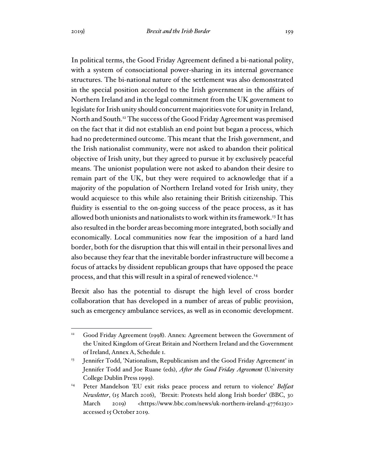In political terms, the Good Friday Agreement defined a bi-national polity, with a system of consociational power-sharing in its internal governance structures. The bi-national nature of the settlement was also demonstrated in the special position accorded to the Irish government in the affairs of Northern Ireland and in the legal commitment from the UK government to legislate for Irish unity should concurrent majorities vote for unity in Ireland, North and South.<sup>12</sup> The success of the Good Friday Agreement was premised on the fact that it did not establish an end point but began a process, which had no predetermined outcome. This meant that the Irish government, and the Irish nationalist community, were not asked to abandon their political objective of Irish unity, but they agreed to pursue it by exclusively peaceful means. The unionist population were not asked to abandon their desire to remain part of the UK, but they were required to acknowledge that if a majority of the population of Northern Ireland voted for Irish unity, they would acquiesce to this while also retaining their British citizenship. This fluidity is essential to the on-going success of the peace process, as it has allowed both unionists and nationalists to work within its framework.<sup>13</sup> It has also resulted in the border areas becoming more integrated, both socially and economically. Local communities now fear the imposition of a hard land border, both for the disruption that this will entail in their personal lives and also because they fear that the inevitable border infrastructure will become a focus of attacks by dissident republican groups that have opposed the peace process, and that this will result in a spiral of renewed violence.<sup>14</sup>

Brexit also has the potential to disrupt the high level of cross border collaboration that has developed in a number of areas of public provision, such as emergency ambulance services, as well as in economic development.

<sup>&</sup>lt;sup>12</sup> Good Friday Agreement (1998). Annex: Agreement between the Government of the United Kingdom of Great Britain and Northern Ireland and the Government of Ireland, Annex A, Schedule 1.

Jennifer Todd, 'Nationalism, Republicanism and the Good Friday Agreement' in Jennifer Todd and Joe Ruane (eds), *After the Good Friday Agreement* (University College Dublin Press 1999).

<sup>14</sup> Peter Mandelson 'EU exit risks peace process and return to violence' *Belfast Newsletter*, (15 March 2016), 'Brexit: Protests held along Irish border' (BBC, 30 March 2019) <https://www.bbc.com/news/uk-northern-ireland-47761230> accessed 15 October 2019.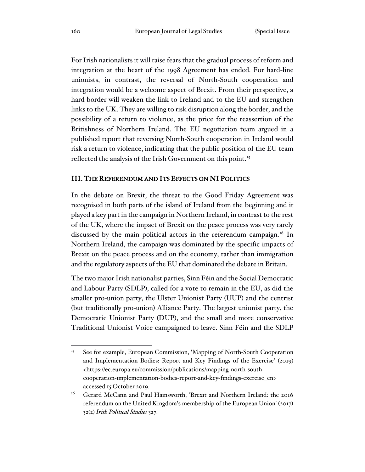For Irish nationalists it will raise fears that the gradual process of reform and integration at the heart of the 1998 Agreement has ended. For hard-line unionists, in contrast, the reversal of North-South cooperation and integration would be a welcome aspect of Brexit. From their perspective, a hard border will weaken the link to Ireland and to the EU and strengthen links to the UK. They are willing to risk disruption along the border, and the possibility of a return to violence, as the price for the reassertion of the Britishness of Northern Ireland. The EU negotiation team argued in a published report that reversing North-South cooperation in Ireland would risk a return to violence, indicating that the public position of the EU team reflected the analysis of the Irish Government on this point.<sup>15</sup>

# III. THE REFERENDUM AND ITS EFFECTS ON NI POLITICS

In the debate on Brexit, the threat to the Good Friday Agreement was recognised in both parts of the island of Ireland from the beginning and it played a key part in the campaign in Northern Ireland, in contrast to the rest of the UK, where the impact of Brexit on the peace process was very rarely discussed by the main political actors in the referendum campaign.<sup>16</sup> In Northern Ireland, the campaign was dominated by the specific impacts of Brexit on the peace process and on the economy, rather than immigration and the regulatory aspects of the EU that dominated the debate in Britain.

The two major Irish nationalist parties, Sinn Féin and the Social Democratic and Labour Party (SDLP), called for a vote to remain in the EU, as did the smaller pro-union party, the Ulster Unionist Party (UUP) and the centrist (but traditionally pro-union) Alliance Party. The largest unionist party, the Democratic Unionist Party (DUP), and the small and more conservative Traditional Unionist Voice campaigned to leave. Sinn Féin and the SDLP

<sup>&</sup>lt;sup>15</sup> See for example, European Commission, 'Mapping of North-South Cooperation and Implementation Bodies: Report and Key Findings of the Exercise' (2019) <https://ec.europa.eu/commission/publications/mapping-north-southcooperation-implementation-bodies-report-and-key-findings-exercise\_en> accessed 15 October 2019.

<sup>&</sup>lt;sup>16</sup> Gerard McCann and Paul Hainsworth, 'Brexit and Northern Ireland: the 2016 referendum on the United Kingdom's membership of the European Union' (2017) 32(2) *Irish Political Studies* 327.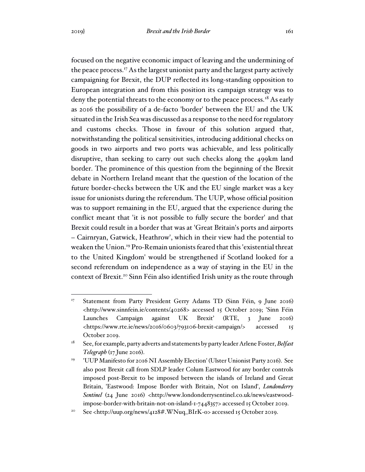focused on the negative economic impact of leaving and the undermining of the peace process.<sup>17</sup> As the largest unionist party and the largest party actively campaigning for Brexit, the DUP reflected its long-standing opposition to European integration and from this position its campaign strategy was to deny the potential threats to the economy or to the peace process.<sup>18</sup> As early as 2016 the possibility of a de-facto 'border' between the EU and the UK situated in the Irish Sea was discussed as a response to the need for regulatory and customs checks. Those in favour of this solution argued that, notwithstanding the political sensitivities, introducing additional checks on goods in two airports and two ports was achievable, and less politically disruptive, than seeking to carry out such checks along the 499km land border. The prominence of this question from the beginning of the Brexit debate in Northern Ireland meant that the question of the location of the future border-checks between the UK and the EU single market was a key issue for unionists during the referendum. The UUP, whose official position was to support remaining in the EU, argued that the experience during the conflict meant that 'it is not possible to fully secure the border' and that Brexit could result in a border that was at 'Great Britain's ports and airports – Cairnryan, Gatwick, Heathrow', which in their view had the potential to weaken the Union.<sup>19</sup> Pro-Remain unionists feared that this 'existential threat to the United Kingdom' would be strengthened if Scotland looked for a second referendum on independence as a way of staying in the EU in the context of Brexit.<sup>20</sup> Sinn Féin also identified Irish unity as the route through

<sup>&</sup>lt;sup>17</sup> Statement from Party President Gerry Adams TD (Sinn Féin, 9 June 2016) <http://www.sinnfein.ie/contents/40268> accessed 15 October 2019; 'Sinn Féin Launches Campaign against UK Brexit' (RTE, 3 June 2016) <https://www.rte.ie/news/2016/0603/793106-brexit-campaign/> accessed 15 October 2019.

<sup>18</sup> See, for example, party adverts and statements by party leader Arlene Foster, *Belfast Telegraph* (17 June 2016).

<sup>&</sup>lt;sup>19</sup> 'UUP Manifesto for 2016 NI Assembly Election' (Ulster Unionist Party 2016). See also post Brexit call from SDLP leader Colum Eastwood for any border controls imposed post-Brexit to be imposed between the islands of Ireland and Great Britain, 'Eastwood: Impose Border with Britain, Not on Island', *Londonderry Sentinel* (24 June 2016) <http://www.londonderrysentinel.co.uk/news/eastwoodimpose-border-with-britain-not-on-island-1-7448357> accessed 15 October 2019.

<sup>&</sup>lt;sup>20</sup> See <http://uup.org/news/4128#.WNuq\_BIrK-o> accessed 15 October 2019.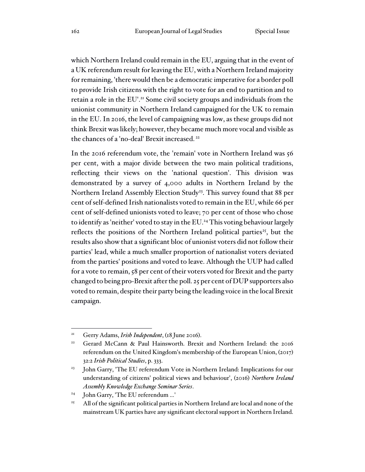which Northern Ireland could remain in the EU, arguing that in the event of a UK referendum result for leaving the EU, with a Northern Ireland majority for remaining, 'there would then be a democratic imperative for a border poll to provide Irish citizens with the right to vote for an end to partition and to retain a role in the EU'.<sup>21</sup> Some civil society groups and individuals from the unionist community in Northern Ireland campaigned for the UK to remain in the EU. In 2016, the level of campaigning was low, as these groups did not think Brexit was likely; however, they became much more vocal and visible as the chances of a 'no-deal' Brexit increased. <sup>22</sup>

In the 2016 referendum vote, the 'remain' vote in Northern Ireland was 56 per cent, with a major divide between the two main political traditions, reflecting their views on the 'national question'. This division was demonstrated by a survey of 4,000 adults in Northern Ireland by the Northern Ireland Assembly Election Study<sup>23</sup>. This survey found that 88 per cent of self-defined Irish nationalists voted to remain in the EU, while 66 per cent of self-defined unionists voted to leave; 70 per cent of those who chose to identify as 'neither' voted to stay in the EU.<sup>24</sup> This voting behaviour largely reflects the positions of the Northern Ireland political parties<sup>25</sup>, but the results also show that a significant bloc of unionist voters did not follow their parties' lead, while a much smaller proportion of nationalist voters deviated from the parties' positions and voted to leave. Although the UUP had called for a vote to remain, 58 per cent of their voters voted for Brexit and the party changed to being pro-Brexit after the poll. 25 per cent of DUP supporters also voted to remain, despite their party being the leading voice in the local Brexit campaign.

<sup>21</sup> Gerry Adams, *Irish Independent*, (18 June 2016).

<sup>&</sup>lt;sup>22</sup> Gerard McCann & Paul Hainsworth. Brexit and Northern Ireland: the 2016 referendum on the United Kingdom's membership of the European Union, (2017) 32:2 *Irish Political Studies*, p. 333.

<sup>&</sup>lt;sup>23</sup> John Garry, 'The EU referendum Vote in Northern Ireland: Implications for our understanding of citizens' political views and behaviour', (2016) *Northern Ireland Assembly Knowledge Exchange Seminar Series*.

<sup>&</sup>lt;sup>24</sup> John Garry, 'The EU referendum ...'

<sup>&</sup>lt;sup>25</sup> All of the significant political parties in Northern Ireland are local and none of the mainstream UK parties have any significant electoral support in Northern Ireland.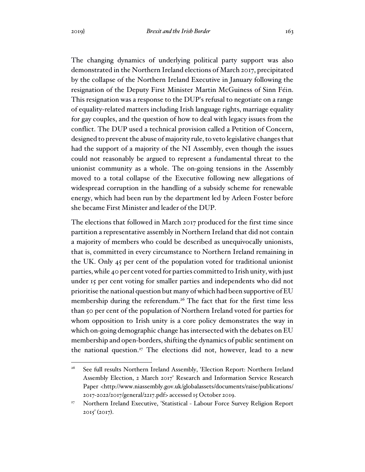The changing dynamics of underlying political party support was also demonstrated in the Northern Ireland elections of March 2017, precipitated by the collapse of the Northern Ireland Executive in January following the resignation of the Deputy First Minister Martin McGuiness of Sinn Féin. This resignation was a response to the DUP's refusal to negotiate on a range of equality-related matters including Irish language rights, marriage equality for gay couples, and the question of how to deal with legacy issues from the conflict. The DUP used a technical provision called a Petition of Concern, designed to prevent the abuse of majority rule, to veto legislative changes that had the support of a majority of the NI Assembly, even though the issues could not reasonably be argued to represent a fundamental threat to the unionist community as a whole. The on-going tensions in the Assembly moved to a total collapse of the Executive following new allegations of widespread corruption in the handling of a subsidy scheme for renewable energy, which had been run by the department led by Arleen Foster before she became First Minister and leader of the DUP.

The elections that followed in March 2017 produced for the first time since partition a representative assembly in Northern Ireland that did not contain a majority of members who could be described as unequivocally unionists, that is, committed in every circumstance to Northern Ireland remaining in the UK. Only 45 per cent of the population voted for traditional unionist parties, while 40 per cent voted for parties committed to Irish unity, with just under 15 per cent voting for smaller parties and independents who did not prioritise the national question but many of which had been supportive of EU membership during the referendum.<sup>26</sup> The fact that for the first time less than 50 per cent of the population of Northern Ireland voted for parties for whom opposition to Irish unity is a core policy demonstrates the way in which on-going demographic change has intersected with the debates on EU membership and open-borders, shifting the dynamics of public sentiment on the national question.<sup>27</sup> The elections did not, however, lead to a new

<sup>&</sup>lt;sup>26</sup> See full results Northern Ireland Assembly, 'Election Report: Northern Ireland Assembly Election, 2 March 2017' Research and Information Service Research Paper <http://www.niassembly.gov.uk/globalassets/documents/raise/publications/ 2017-2022/2017/general/2217.pdf> accessed 15 October 2019.

<sup>&</sup>lt;sup>27</sup> Northern Ireland Executive, 'Statistical - Labour Force Survey Religion Report 2015' (2017).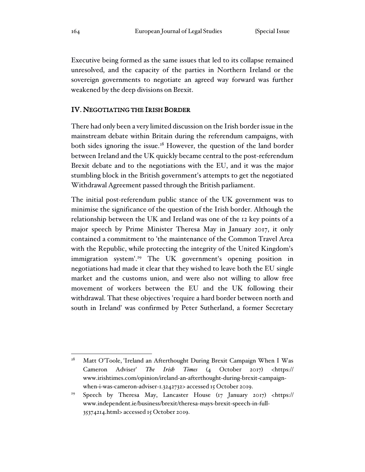Executive being formed as the same issues that led to its collapse remained unresolved, and the capacity of the parties in Northern Ireland or the sovereign governments to negotiate an agreed way forward was further weakened by the deep divisions on Brexit.

### IV. NEGOTIATING THE IRISH BORDER

There had only been a very limited discussion on the Irish border issue in the mainstream debate within Britain during the referendum campaigns, with both sides ignoring the issue.<sup>28</sup> However, the question of the land border between Ireland and the UK quickly became central to the post-referendum Brexit debate and to the negotiations with the EU, and it was the major stumbling block in the British government's attempts to get the negotiated Withdrawal Agreement passed through the British parliament.

The initial post-referendum public stance of the UK government was to minimise the significance of the question of the Irish border. Although the relationship between the UK and Ireland was one of the 12 key points of a major speech by Prime Minister Theresa May in January 2017, it only contained a commitment to 'the maintenance of the Common Travel Area with the Republic, while protecting the integrity of the United Kingdom's immigration system'.<sup>29</sup> The UK government's opening position in negotiations had made it clear that they wished to leave both the EU single market and the customs union, and were also not willing to allow free movement of workers between the EU and the UK following their withdrawal. That these objectives 'require a hard border between north and south in Ireland' was confirmed by Peter Sutherland, a former Secretary

<sup>&</sup>lt;sup>28</sup> Matt O'Toole, 'Ireland an Afterthought During Brexit Campaign When I Was Cameron Adviser' *The Irish Times* (4 October 2017) <https:// www.irishtimes.com/opinion/ireland-an-afterthought-during-brexit-campaignwhen-i-was-cameron-adviser-1.3242732> accessed 15 October 2019.

<sup>29</sup> Speech by Theresa May, Lancaster House (17 January 2017) <https:// www.independent.ie/business/brexit/theresa-mays-brexit-speech-in-full-35374214.html> accessed 15 October 2019.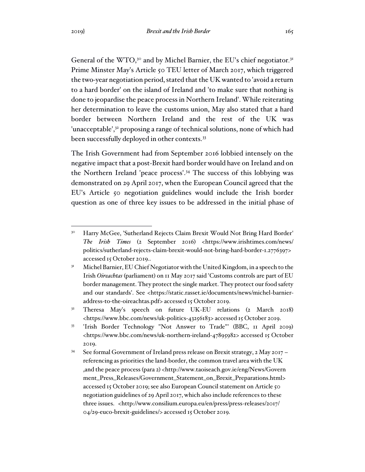General of the WTO,<sup>30</sup> and by Michel Barnier, the EU's chief negotiator.<sup>31</sup> Prime Minster May's Article 50 TEU letter of March 2017, which triggered the two-year negotiation period, stated that the UK wanted to 'avoid a return to a hard border' on the island of Ireland and 'to make sure that nothing is done to jeopardise the peace process in Northern Ireland'. While reiterating her determination to leave the customs union, May also stated that a hard border between Northern Ireland and the rest of the UK was 'unacceptable',<sup>32</sup> proposing a range of technical solutions, none of which had been successfully deployed in other contexts.<sup>33</sup>

The Irish Government had from September 2016 lobbied intensely on the negative impact that a post-Brexit hard border would have on Ireland and on the Northern Ireland 'peace process'.<sup>34</sup> The success of this lobbying was demonstrated on 29 April 2017, when the European Council agreed that the EU's Article 50 negotiation guidelines would include the Irish border question as one of three key issues to be addressed in the initial phase of

<sup>32</sup> Theresa May's speech on future UK-EU relations (2 March 2018) <https://www.bbc.com/news/uk-politics-43256183> accessed 15 October 2019.

<sup>&</sup>lt;sup>30</sup> Harry McGee, 'Sutherland Rejects Claim Brexit Would Not Bring Hard Border' *The Irish Times* (2 September 2016) <https://www.irishtimes.com/news/ politics/sutherland-rejects-claim-brexit-would-not-bring-hard-border-1.2776397> accessed 15 October 2019..

<sup>&</sup>lt;sup>31</sup> Michel Barnier, EU Chief Negotiator with the United Kingdom, in a speech to the Irish *Oireachtas* (parliament) on 11 May 2017 said 'Customs controls are part of EU border management. They protect the single market. They protect our food safety and our standards'. See <https://static.rasset.ie/documents/news/michel-barnieraddress-to-the-oireachtas.pdf> accessed 15 October 2019.

<sup>33</sup> 'Irish Border Technology "Not Answer to Trade"' (BBC, 11 April 2019) <https://www.bbc.com/news/uk-northern-ireland-47895982> accessed 15 October 2019.

<sup>34</sup> See formal Government of Ireland press release on Brexit strategy, 2 May 2017 – referencing as priorities the land-border, the common travel area with the UK ,and the peace process (para 2) <http://www.taoiseach.gov.ie/eng/News/Govern ment\_Press\_Releases/Government\_Statement\_on\_Brexit\_Preparations.html> accessed 15 October 2019; see also European Council statement on Article 50 negotiation guidelines of 29 April 2017, which also include references to these three issues. <http://www.consilium.europa.eu/en/press/press-releases/2017/ 04/29-euco-brexit-guidelines/> accessed 15 October 2019.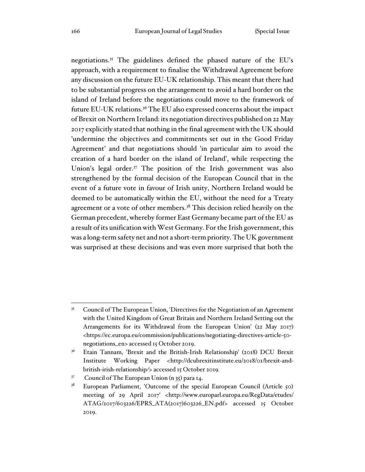negotiations.<sup>35</sup> The guidelines defined the phased nature of the EU's approach, with a requirement to finalise the Withdrawal Agreement before any discussion on the future EU-UK relationship. This meant that there had to be substantial progress on the arrangement to avoid a hard border on the island of Ireland before the negotiations could move to the framework of future EU-UK relations.<sup>36</sup> The EU also expressed concerns about the impact of Brexit on Northern Ireland: its negotiation directives published on 22 May 2017 explicitly stated that nothing in the final agreement with the UK should 'undermine the objectives and commitments set out in the Good Friday Agreement' and that negotiations should 'in particular aim to avoid the creation of a hard border on the island of Ireland', while respecting the Union's legal order.<sup>37</sup> The position of the Irish government was also strengthened by the formal decision of the European Council that in the event of a future vote in favour of Irish unity, Northern Ireland would be deemed to be automatically within the EU, without the need for a Treaty agreement or a vote of other members.<sup>38</sup> This decision relied heavily on the German precedent, whereby former East Germany became part of the EU as a result of its unification with West Germany. For the Irish government, this was a long-term safety net and not a short-term priority. The UK government was surprised at these decisions and was even more surprised that both the

<sup>&</sup>lt;sup>35</sup> Council of The European Union, 'Directives for the Negotiation of an Agreement with the United Kingdom of Great Britain and Northern Ireland Setting out the Arrangements for its Withdrawal from the European Union' (22 May 2017) <https://ec.europa.eu/commission/publications/negotiating-directives-article-50 negotiations\_en> accessed 15 October 2019.

<sup>&</sup>lt;sup>36</sup> Etain Tannam, 'Brexit and the British-Irish Relationship' (2018) DCU Brexit Institute Working Paper <http://dcubrexitinstitute.eu/2018/01/brexit-andbritish-irish-relationship*/*> accessed 15 October 2019*.*

<sup>37</sup> Council of The European Union (n 35) para 14.

<sup>&</sup>lt;sup>38</sup> European Parliament, 'Outcome of the special European Council (Article 50) meeting of 29 April 2017' <http://www.europarl.europa.eu/RegData/etudes/ ATAG/2017/603226/EPRS\_ATA(2017)603226\_EN.pdf> accessed 15 October 2019.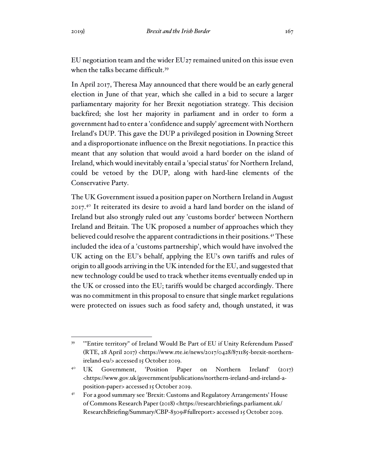EU negotiation team and the wider EU27 remained united on this issue even when the talks became difficult.<sup>39</sup>

In April 2017, Theresa May announced that there would be an early general election in June of that year, which she called in a bid to secure a larger parliamentary majority for her Brexit negotiation strategy. This decision backfired; she lost her majority in parliament and in order to form a government had to enter a 'confidence and supply' agreement with Northern Ireland's DUP. This gave the DUP a privileged position in Downing Street and a disproportionate influence on the Brexit negotiations. In practice this meant that any solution that would avoid a hard border on the island of Ireland, which would inevitably entail a 'special status' for Northern Ireland, could be vetoed by the DUP, along with hard-line elements of the Conservative Party.

The UK Government issued a position paper on Northern Ireland in August 2017.<sup>40</sup> It reiterated its desire to avoid a hard land border on the island of Ireland but also strongly ruled out any 'customs border' between Northern Ireland and Britain. The UK proposed a number of approaches which they believed could resolve the apparent contradictions in their positions.<sup>41</sup> These included the idea of a 'customs partnership', which would have involved the UK acting on the EU's behalf, applying the EU's own tariffs and rules of origin to all goods arriving in the UK intended for the EU, and suggested that new technology could be used to track whether items eventually ended up in the UK or crossed into the EU; tariffs would be charged accordingly. There was no commitment in this proposal to ensure that single market regulations were protected on issues such as food safety and, though unstated, it was

<sup>&</sup>lt;sup>39</sup> "Entire territory" of Ireland Would Be Part of EU if Unity Referendum Passed' (RTE, 28 April 2017) <https://www.rte.ie/news/2017/0428/871185-brexit-northernireland-eu/> accessed 15 October 2019.

<sup>40</sup> UK Government, 'Position Paper on Northern Ireland' (2017) <https://www.gov.uk/government/publications/northern-ireland-and-ireland-aposition-paper> accessed 15 October 2019.

<sup>&</sup>lt;sup>41</sup> For a good summary see 'Brexit: Customs and Regulatory Arrangements' House of Commons Research Paper (2018) <https://researchbriefings.parliament.uk/ ResearchBriefing/Summary/CBP-8309#fullreport> accessed 15 October 2019.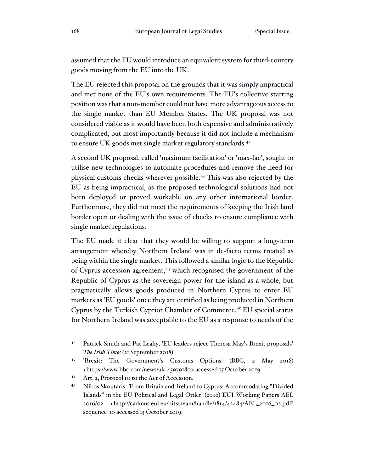assumed that the EU would introduce an equivalent system for third-country goods moving from the EU into the UK.

The EU rejected this proposal on the grounds that it was simply impractical and met none of the EU's own requirements. The EU's collective starting position was that a non-member could not have more advantageous access to the single market than EU Member States. The UK proposal was not considered viable as it would have been both expensive and administratively complicated, but most importantly because it did not include a mechanism to ensure UK goods met single market regulatory standards.<sup>42</sup>

A second UK proposal, called 'maximum facilitation' or 'max-fac', sought to utilise new technologies to automate procedures and remove the need for physical customs checks wherever possible.<sup>43</sup> This was also rejected by the EU as being impractical, as the proposed technological solutions had not been deployed or proved workable on any other international border. Furthermore, they did not meet the requirements of keeping the Irish land border open or dealing with the issue of checks to ensure compliance with single market regulations.

The EU made it clear that they would be willing to support a long-term arrangement whereby Northern Ireland was in de-facto terms treated as being within the single market. This followed a similar logic to the Republic of Cyprus accession agreement,<sup>44</sup> which recognised the government of the Republic of Cyprus as the sovereign power for the island as a whole, but pragmatically allows goods produced in Northern Cyprus to enter EU markets as 'EU goods' once they are certified as being produced in Northern Cyprus by the Turkish Cypriot Chamber of Commerce.<sup>45</sup> EU special status for Northern Ireland was acceptable to the EU as a response to needs of the

<sup>42</sup> Patrick Smith and Pat Leahy, 'EU leaders reject Theresa May's Brexit proposals' *The Irish Times* (21 September 2018).

<sup>43</sup> 'Brexit: The Government's Customs Options' (BBC, 2 May 2018) <https://www.bbc.com/news/uk-43979180> accessed 15 October 2019.

<sup>44</sup> Art. 2, Protocol 10 to the Act of Accession.

<sup>45</sup> Nikos Skoutaris, *'*From Britain and Ireland to Cyprus: Accommodating "Divided Islands" in the EU Political and Legal Order' (2016) EUI Working Papers AEL 2016/02 <http://cadmus.eui.eu/bitstream/handle/1814/42484/AEL\_2016\_02.pdf? sequence=1> accessed 15 October 2019.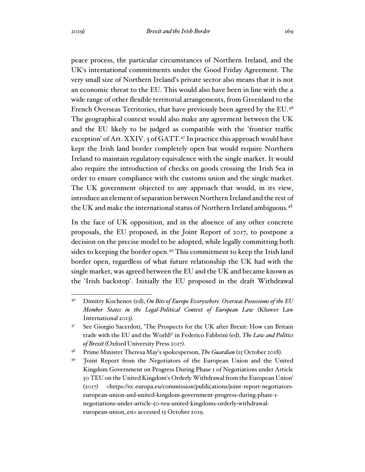peace process, the particular circumstances of Northern Ireland, and the UK's international commitments under the Good Friday Agreement. The very small size of Northern Ireland's private sector also means that it is not an economic threat to the EU. This would also have been in line with the a wide range of other flexible territorial arrangements, from Greenland to the French Overseas Territories, that have previously been agreed by the EU.<sup>46</sup> The geographical context would also make any agreement between the UK and the EU likely to be judged as compatible with the 'frontier traffic exception' of Art. XXIV. 3 of GATT.<sup>47</sup> In practice this approach would have

kept the Irish land border completely open but would require Northern Ireland to maintain regulatory equivalence with the single market. It would also require the introduction of checks on goods crossing the Irish Sea in order to ensure compliance with the customs union and the single market. The UK government objected to any approach that would, in its view, introduce an element of separation between Northern Ireland and the rest of the UK and make the international status of Northern Ireland ambiguous.<sup>48</sup>

In the face of UK opposition, and in the absence of any other concrete proposals, the EU proposed, in the Joint Report of 2017, to postpone a decision on the precise model to be adopted, while legally committing both sides to keeping the border open.<sup>49</sup> This commitment to keep the Irish land border open, regardless of what future relationship the UK had with the single market, was agreed between the EU and the UK and became known as the 'Irish backstop'. Initially the EU proposed in the draft Withdrawal

<sup>46</sup> Dimitry Kochenov (ed), *On Bits of Europe Everywhere. Overseas Possessions of the EU Member States in the Legal-Political Context of European Law* (Kluwer Law International 2013).

<sup>47</sup> See Giorgio Sacerdoti, 'The Prospects for the UK after Brexit: How can Britain trade with the EU and the World?' in Federico Fabbrini (ed), *The Law and Politics of Brexit* (Oxford University Press 2017).

<sup>48</sup> Prime Minister Theresa May's spokesperson, *The Guardian* (15 October 2018).

<sup>&#</sup>x27;Joint Report from the Negotiators of the European Union and the United Kingdom Government on Progress During Phase 1 of Negotiations under Article 50 TEU on the United Kingdom's Orderly Withdrawal from the European Union' (2017) <https://ec.europa.eu/commission/publications/joint-report-negotiatorseuropean-union-and-united-kingdom-government-progress-during-phase-1 negotiations-under-article-50-teu-united-kingdoms-orderly-withdrawaleuropean-union\_en> accessed 15 October 2019.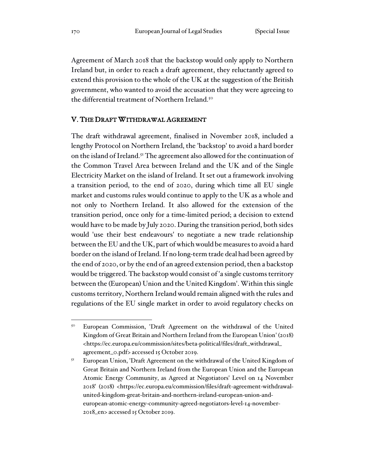Agreement of March 2018 that the backstop would only apply to Northern Ireland but, in order to reach a draft agreement, they reluctantly agreed to extend this provision to the whole of the UK at the suggestion of the British government, who wanted to avoid the accusation that they were agreeing to the differential treatment of Northern Ireland.<sup>50</sup>

#### V. THE DRAFT WITHDRAWAL AGREEMENT

The draft withdrawal agreement, finalised in November 2018, included a lengthy Protocol on Northern Ireland, the 'backstop' to avoid a hard border on the island of Ireland.<sup>51</sup> The agreement also allowed for the continuation of the Common Travel Area between Ireland and the UK and of the Single Electricity Market on the island of Ireland. It set out a framework involving a transition period, to the end of 2020, during which time all EU single market and customs rules would continue to apply to the UK as a whole and not only to Northern Ireland. It also allowed for the extension of the transition period, once only for a time-limited period; a decision to extend would have to be made by July 2020. During the transition period, both sides would 'use their best endeavours' to negotiate a new trade relationship between the EU and the UK, part of which would be measures to avoid a hard border on the island of Ireland. If no long-term trade deal had been agreed by the end of 2020, or by the end of an agreed extension period, then a backstop would be triggered. The backstop would consist of 'a single customs territory between the (European) Union and the United Kingdom'. Within this single customs territory, Northern Ireland would remain aligned with the rules and regulations of the EU single market in order to avoid regulatory checks on

<sup>&</sup>lt;sup>50</sup> European Commission, 'Draft Agreement on the withdrawal of the United Kingdom of Great Britain and Northern Ireland from the European Union' (2018) <https://ec.europa.eu/commission/sites/beta-political/files/draft\_withdrawal\_ agreement\_0.pdf> accessed 15 October 2019.

European Union, 'Draft Agreement on the withdrawal of the United Kingdom of Great Britain and Northern Ireland from the European Union and the European Atomic Energy Community, as Agreed at Negotiators' Level on 14 November 2018' (2018) <https://ec.europa.eu/commission/files/draft-agreement-withdrawalunited-kingdom-great-britain-and-northern-ireland-european-union-andeuropean-atomic-energy-community-agreed-negotiators-level-14-november-2018\_en> accessed 15 October 2019.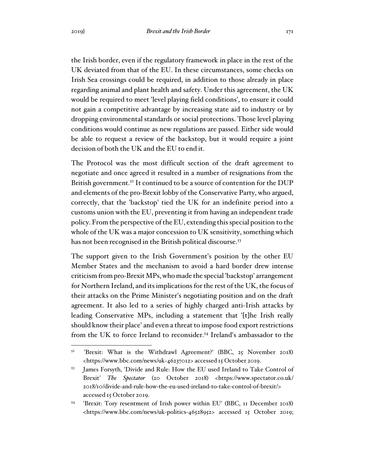the Irish border, even if the regulatory framework in place in the rest of the UK deviated from that of the EU. In these circumstances, some checks on Irish Sea crossings could be required, in addition to those already in place regarding animal and plant health and safety. Under this agreement, the UK would be required to meet 'level playing field conditions', to ensure it could not gain a competitive advantage by increasing state aid to industry or by dropping environmental standards or social protections. Those level playing conditions would continue as new regulations are passed. Either side would be able to request a review of the backstop, but it would require a joint decision of both the UK and the EU to end it.

The Protocol was the most difficult section of the draft agreement to negotiate and once agreed it resulted in a number of resignations from the British government.<sup>52</sup> It continued to be a source of contention for the DUP and elements of the pro-Brexit lobby of the Conservative Party, who argued, correctly, that the 'backstop' tied the UK for an indefinite period into a customs union with the EU, preventing it from having an independent trade policy. From the perspective of the EU, extending this special position to the whole of the UK was a major concession to UK sensitivity, something which has not been recognised in the British political discourse.<sup>53</sup>

The support given to the Irish Government's position by the other EU Member States and the mechanism to avoid a hard border drew intense criticism from pro-Brexit MPs, who made the special 'backstop' arrangement for Northern Ireland, and its implications for the rest of the UK, the focus of their attacks on the Prime Minister's negotiating position and on the draft agreement. It also led to a series of highly charged anti-Irish attacks by leading Conservative MPs, including a statement that '[t]he Irish really should know their place' and even a threat to impose food export restrictions from the UK to force Ireland to reconsider.<sup>54</sup> Ireland's ambassador to the

<sup>52</sup> 'Brexit: What is the Withdrawl Agreement?' (BBC, 25 November 2018) <https://www.bbc.com/news/uk-46237012> accessed 15 October 2019.

<sup>53</sup> James Forsyth, 'Divide and Rule: How the EU used Ireland to Take Control of Brexit' *The Spectator* (20 October 2018) <https://www.spectator.co.uk/ 2018/10/divide-and-rule-how-the-eu-used-ireland-to-take-control-of-brexit/> accessed 15 October 2019.

<sup>54</sup> 'Brexit: Tory resentment of Irish power within EU' (BBC, 11 December 2018) <https://www.bbc.com/news/uk-politics-46528952> accessed 15 October 2019;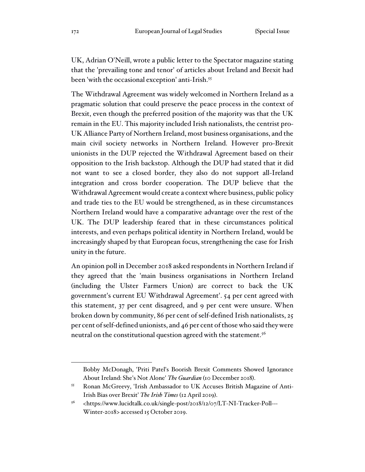UK, Adrian O'Neill, wrote a public letter to the Spectator magazine stating that the 'prevailing tone and tenor' of articles about Ireland and Brexit had been 'with the occasional exception' anti-Irish.<sup>55</sup>

The Withdrawal Agreement was widely welcomed in Northern Ireland as a pragmatic solution that could preserve the peace process in the context of Brexit, even though the preferred position of the majority was that the UK remain in the EU. This majority included Irish nationalists, the centrist pro-UK Alliance Party of Northern Ireland, most business organisations, and the main civil society networks in Northern Ireland. However pro-Brexit unionists in the DUP rejected the Withdrawal Agreement based on their opposition to the Irish backstop. Although the DUP had stated that it did not want to see a closed border, they also do not support all-Ireland integration and cross border cooperation. The DUP believe that the Withdrawal Agreement would create a context where business, public policy and trade ties to the EU would be strengthened, as in these circumstances Northern Ireland would have a comparative advantage over the rest of the UK. The DUP leadership feared that in these circumstances political interests, and even perhaps political identity in Northern Ireland, would be increasingly shaped by that European focus, strengthening the case for Irish unity in the future.

An opinion poll in December 2018 asked respondents in Northern Ireland if they agreed that the 'main business organisations in Northern Ireland (including the Ulster Farmers Union) are correct to back the UK government's current EU Withdrawal Agreement'. 54 per cent agreed with this statement, 37 per cent disagreed, and 9 per cent were unsure. When broken down by community, 86 per cent of self-defined Irish nationalists, 25 per cent of self-defined unionists, and 46 per cent of those who said they were neutral on the constitutional question agreed with the statement.<sup>56</sup>

Bobby McDonagh, 'Priti Patel's Boorish Brexit Comments Showed Ignorance About Ireland: She's Not Alone' *The Guardian* (10 December 2018).

<sup>55</sup> Ronan McGreevy, 'Irish Ambassador to UK Accuses British Magazine of Anti-Irish Bias over Brexit' *The Irish Times* (12 April 2019).

<sup>56</sup> <https://www.lucidtalk.co.uk/single-post/2018/12/07/LT-NI-Tracker-Poll--- Winter-2018> accessed 15 October 2019.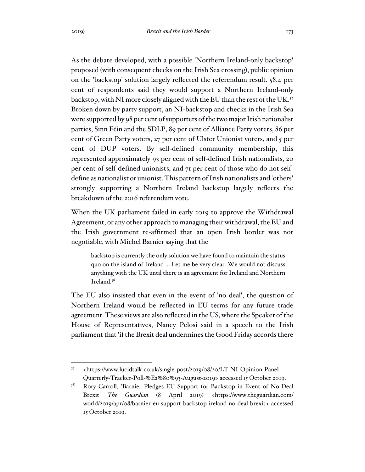As the debate developed, with a possible 'Northern Ireland-only backstop' proposed (with consequent checks on the Irish Sea crossing), public opinion on the 'backstop' solution largely reflected the referendum result. 58.4 per cent of respondents said they would support a Northern Ireland-only backstop, with NI more closely aligned with the EU than the rest of the UK.<sup>57</sup> Broken down by party support, an NI-backstop and checks in the Irish Sea were supported by 98 per cent of supporters of the two major Irish nationalist parties, Sinn Féin and the SDLP, 89 per cent of Alliance Party voters, 86 per cent of Green Party voters, 27 per cent of Ulster Unionist voters, and 5 per cent of DUP voters. By self-defined community membership, this represented approximately 93 per cent of self-defined Irish nationalists, 20 per cent of self-defined unionists, and 71 per cent of those who do not selfdefine as nationalist or unionist. This pattern of Irish nationalists and 'others' strongly supporting a Northern Ireland backstop largely reflects the breakdown of the 2016 referendum vote.

When the UK parliament failed in early 2019 to approve the Withdrawal Agreement, or any other approach to managing their withdrawal, the EU and the Irish government re-affirmed that an open Irish border was not negotiable, with Michel Barnier saying that the

backstop is currently the only solution we have found to maintain the status quo on the island of Ireland ... Let me be very clear. We would not discuss anything with the UK until there is an agreement for Ireland and Northern Ireland.<sup>58</sup>

The EU also insisted that even in the event of 'no deal', the question of Northern Ireland would be reflected in EU terms for any future trade agreement. These views are also reflected in the US, where the Speaker of the House of Representatives, Nancy Pelosi said in a speech to the Irish parliament that 'if the Brexit deal undermines the Good Friday accords there

<sup>57</sup> <https://www.lucidtalk.co.uk/single-post/2019/08/20/LT-NI-Opinion-Panel-Quarterly-Tracker-Poll-%E2%80%93-August-2019> accessed 15 October 2019.

<sup>58</sup> Rory Carroll, 'Barnier Pledges EU Support for Backstop in Event of No-Deal Brexit' *The Guardian* (8 April 2019) <https://www.theguardian.com/ world/2019/apr/08/barnier-eu-support-backstop-ireland-no-deal-brexit> accessed 15 October 2019.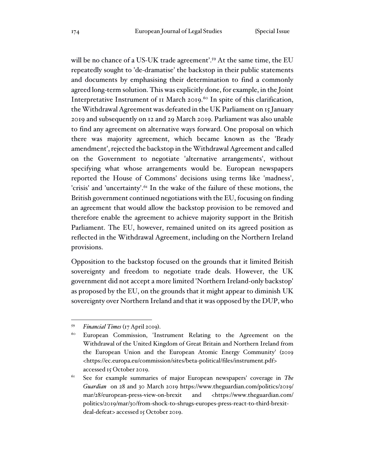will be no chance of a US-UK trade agreement'.<sup>59</sup> At the same time, the EU repeatedly sought to 'de-dramatise' the backstop in their public statements and documents by emphasising their determination to find a commonly agreed long-term solution. This was explicitly done, for example, in the Joint Interpretative Instrument of 11 March 2019.<sup>60</sup> In spite of this clarification, the Withdrawal Agreement was defeated in the UK Parliament on 15 January 2019 and subsequently on 12 and 29 March 2019. Parliament was also unable to find any agreement on alternative ways forward. One proposal on which there was majority agreement, which became known as the 'Brady amendment', rejected the backstop in the Withdrawal Agreement and called on the Government to negotiate 'alternative arrangements', without specifying what whose arrangements would be. European newspapers reported the House of Commons' decisions using terms like 'madness', 'crisis' and 'uncertainty'.<sup>61</sup> In the wake of the failure of these motions, the British government continued negotiations with the EU, focusing on finding an agreement that would allow the backstop provision to be removed and therefore enable the agreement to achieve majority support in the British Parliament. The EU, however, remained united on its agreed position as reflected in the Withdrawal Agreement, including on the Northern Ireland provisions.

Opposition to the backstop focused on the grounds that it limited British sovereignty and freedom to negotiate trade deals. However, the UK government did not accept a more limited 'Northern Ireland-only backstop' as proposed by the EU, on the grounds that it might appear to diminish UK sovereignty over Northern Ireland and that it was opposed by the DUP, who

<sup>59</sup> *Financial Times* (17 April 2019).

<sup>60</sup> European Commission, 'Instrument Relating to the Agreement on the Withdrawal of the United Kingdom of Great Britain and Northern Ireland from the European Union and the European Atomic Energy Community' (2019 <https://ec.europa.eu/commission/sites/beta-political/files/instrument.pdf> accessed 15 October 2019.

<sup>61</sup> See for example summaries of major European newspapers' coverage in *The Guardian* on 28 and 30 March 2019 https://www.theguardian.com/politics/2019/ mar/28/european-press-view-on-brexit and <https://www.theguardian.com/ politics/2019/mar/30/from-shock-to-shrugs-europes-press-react-to-third-brexitdeal-defeat> accessed 15 October 2019.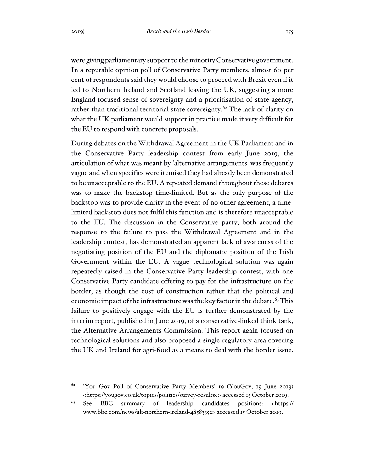were giving parliamentary support to the minority Conservative government. In a reputable opinion poll of Conservative Party members, almost 60 per cent of respondents said they would choose to proceed with Brexit even if it led to Northern Ireland and Scotland leaving the UK, suggesting a more England-focused sense of sovereignty and a prioritisation of state agency, rather than traditional territorial state sovereignty.<sup>62</sup> The lack of clarity on what the UK parliament would support in practice made it very difficult for the EU to respond with concrete proposals.

During debates on the Withdrawal Agreement in the UK Parliament and in the Conservative Party leadership contest from early June 2019, the articulation of what was meant by 'alternative arrangements' was frequently vague and when specifics were itemised they had already been demonstrated to be unacceptable to the EU. A repeated demand throughout these debates was to make the backstop time-limited. But as the only purpose of the backstop was to provide clarity in the event of no other agreement, a timelimited backstop does not fulfil this function and is therefore unacceptable to the EU. The discussion in the Conservative party, both around the response to the failure to pass the Withdrawal Agreement and in the leadership contest, has demonstrated an apparent lack of awareness of the negotiating position of the EU and the diplomatic position of the Irish Government within the EU. A vague technological solution was again repeatedly raised in the Conservative Party leadership contest, with one Conservative Party candidate offering to pay for the infrastructure on the border, as though the cost of construction rather that the political and economic impact of the infrastructure was the key factor in the debate.<sup>63</sup> This failure to positively engage with the EU is further demonstrated by the interim report, published in June 2019, of a conservative-linked think tank, the Alternative Arrangements Commission. This report again focused on technological solutions and also proposed a single regulatory area covering the UK and Ireland for agri-food as a means to deal with the border issue.

<sup>&</sup>lt;sup>62</sup> 'You Gov Poll of Conservative Party Members' 19 (YouGov, 19 June 2019) <https://yougov.co.uk/topics/politics/survey-resultse> accessed 15 October 2019.

<sup>63</sup> See BBC summary of leadership candidates positions: <https:// www.bbc.com/news/uk-northern-ireland-48583352> accessed 15 October 2019.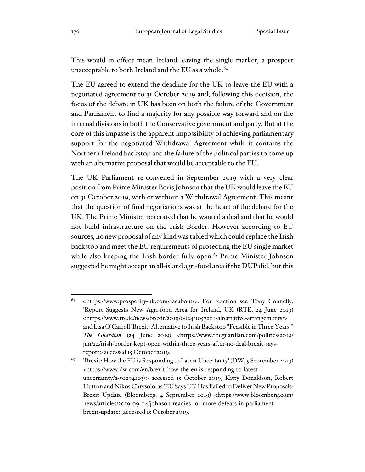This would in effect mean Ireland leaving the single market, a prospect unacceptable to both Ireland and the EU as a whole.<sup>64</sup>

The EU agreed to extend the deadline for the UK to leave the EU with a negotiated agreement to 31 October 2019 and, following this decision, the focus of the debate in UK has been on both the failure of the Government and Parliament to find a majority for any possible way forward and on the internal divisions in both the Conservative government and party. But at the core of this impasse is the apparent impossibility of achieving parliamentary support for the negotiated Withdrawal Agreement while it contains the Northern Ireland backstop and the failure of the political parties to come up with an alternative proposal that would be acceptable to the EU.

The UK Parliament re-convened in September 2019 with a very clear position from Prime Minister Boris Johnson that the UK would leave the EU on 31 October 2019, with or without a Withdrawal Agreement. This meant that the question of final negotiations was at the heart of the debate for the UK. The Prime Minister reiterated that he wanted a deal and that he would not build infrastructure on the Irish Border. However according to EU sources, no new proposal of any kind was tabled which could replace the Irish backstop and meet the EU requirements of protecting the EU single market while also keeping the Irish border fully open.<sup>65</sup> Prime Minister Johnson suggested he might accept an all-island agri-food area if the DUP did, but this

<sup>64</sup> <https://www.prosperity-uk.com/aacabout/>. For reaction see Tony Connelly, 'Report Suggests New Agri-food Area for Ireland, UK (RTE, 24 June 2019) <https://www.rte.ie/news/brexit/2019/0624/1057201-alternative-arrangements/> and Lisa O'Carroll 'Brexit: Alternative to Irish Backstop "Feasible in Three Years"' *The Guardian* (24 June 2019) <https://www.theguardian.com/politics/2019/ jun/24/irish-border-kept-open-within-three-years-after-no-deal-brexit-saysreport> accessed 15 October 2019.

<sup>&</sup>lt;sup>65</sup> 'Brexit: How the EU is Responding to Latest Uncertanty' (DW, 5 September 2019) <https://www.dw.com/en/brexit-how-the-eu-is-responding-to-latestuncertainty/a-50294103\> accessed 15 October 2019; Kitty Donaldson, Robert Hutton and Nikos Chrysoloras 'EU Says UK Has Failed to Deliver New Proposals: Brexit Update (Bloomberg, 4 September 2019) <https://www.bloomberg.com/ news/articles/2019-09-04/johnson-readies-for-more-defeats-in-parliamentbrexit-update> accessed 15 October 2019.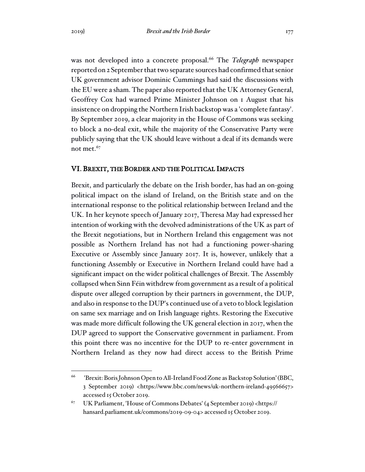was not developed into a concrete proposal.<sup>66</sup> The *Telegraph* newspaper reported on 2 September that two separate sources had confirmed that senior UK government advisor Dominic Cummings had said the discussions with the EU were a sham. The paper also reported that the UK Attorney General, Geoffrey Cox had warned Prime Minister Johnson on 1 August that his insistence on dropping the Northern Irish backstop was a 'complete fantasy'. By September 2019, a clear majority in the House of Commons was seeking to block a no-deal exit, while the majority of the Conservative Party were publicly saying that the UK should leave without a deal if its demands were not met.<sup>67</sup>

### VI. BREXIT, THE BORDER AND THE POLITICAL IMPACTS

Brexit, and particularly the debate on the Irish border, has had an on-going political impact on the island of Ireland, on the British state and on the international response to the political relationship between Ireland and the UK. In her keynote speech of January 2017, Theresa May had expressed her intention of working with the devolved administrations of the UK as part of the Brexit negotiations, but in Northern Ireland this engagement was not possible as Northern Ireland has not had a functioning power-sharing Executive or Assembly since January 2017. It is, however, unlikely that a functioning Assembly or Executive in Northern Ireland could have had a significant impact on the wider political challenges of Brexit. The Assembly collapsed when Sinn Féin withdrew from government as a result of a political dispute over alleged corruption by their partners in government, the DUP, and also in response to the DUP's continued use of a veto to block legislation on same sex marriage and on Irish language rights. Restoring the Executive was made more difficult following the UK general election in 2017, when the DUP agreed to support the Conservative government in parliament. From this point there was no incentive for the DUP to re-enter government in Northern Ireland as they now had direct access to the British Prime

<sup>66</sup> 'Brexit: Boris Johnson Open to All-Ireland Food Zone as Backstop Solution' (BBC, 3 September 2019) <https://www.bbc.com/news/uk-northern-ireland-49566657> accessed 15 October 2019.

<sup>67</sup> UK Parliament, 'House of Commons Debates' (4 September 2019) <https:// hansard.parliament.uk/commons/2019-09-04> accessed 15 October 2019.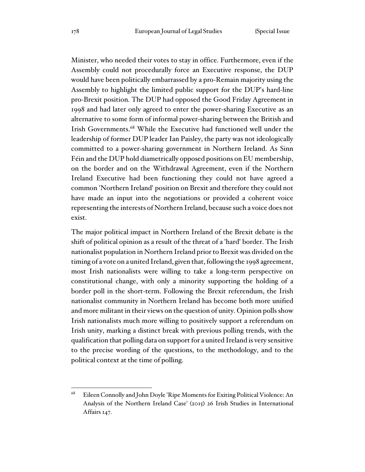Minister, who needed their votes to stay in office. Furthermore, even if the Assembly could not procedurally force an Executive response, the DUP would have been politically embarrassed by a pro-Remain majority using the Assembly to highlight the limited public support for the DUP's hard-line pro-Brexit position. The DUP had opposed the Good Friday Agreement in 1998 and had later only agreed to enter the power-sharing Executive as an alternative to some form of informal power-sharing between the British and Irish Governments.<sup>68</sup> While the Executive had functioned well under the leadership of former DUP leader Ian Paisley, the party was not ideologically committed to a power-sharing government in Northern Ireland. As Sinn Féin and the DUP hold diametrically opposed positions on EU membership, on the border and on the Withdrawal Agreement, even if the Northern Ireland Executive had been functioning they could not have agreed a common 'Northern Ireland' position on Brexit and therefore they could not have made an input into the negotiations or provided a coherent voice representing the interests of Northern Ireland, because such a voice does not exist.

The major political impact in Northern Ireland of the Brexit debate is the shift of political opinion as a result of the threat of a 'hard' border. The Irish nationalist population in Northern Ireland prior to Brexit was divided on the timing of a vote on a united Ireland, given that, following the 1998 agreement, most Irish nationalists were willing to take a long-term perspective on constitutional change, with only a minority supporting the holding of a border poll in the short-term. Following the Brexit referendum, the Irish nationalist community in Northern Ireland has become both more unified and more militant in their views on the question of unity. Opinion polls show Irish nationalists much more willing to positively support a referendum on Irish unity, marking a distinct break with previous polling trends, with the qualification that polling data on support for a united Ireland is very sensitive to the precise wording of the questions, to the methodology, and to the political context at the time of polling.

<sup>68</sup> Eileen Connolly and John Doyle 'Ripe Moments for Exiting Political Violence: An Analysis of the Northern Ireland Case' (2015) 26 Irish Studies in International Affairs 147.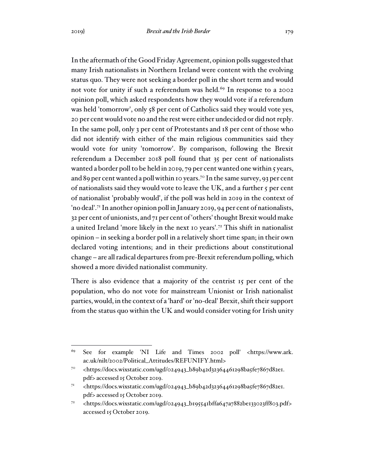In the aftermath of the Good Friday Agreement, opinion polls suggested that many Irish nationalists in Northern Ireland were content with the evolving status quo. They were not seeking a border poll in the short term and would not vote for unity if such a referendum was held.<sup>69</sup> In response to a 2002 opinion poll, which asked respondents how they would vote if a referendum was held 'tomorrow', only 58 per cent of Catholics said they would vote yes, 20 per cent would vote no and the rest were either undecided or did not reply. In the same poll, only 3 per cent of Protestants and 18 per cent of those who did not identify with either of the main religious communities said they would vote for unity 'tomorrow'. By comparison, following the Brexit referendum a December 2018 poll found that 35 per cent of nationalists wanted a border poll to be held in 2019, 79 per cent wanted one within 5 years, and 89 per cent wanted a poll within 10 years.<sup>70</sup> In the same survey, 93 per cent of nationalists said they would vote to leave the UK, and a further 5 per cent of nationalist 'probably would', if the poll was held in 2019 in the context of 'no deal'.<sup>71</sup> In another opinion poll in January 2019, 94 per cent of nationalists, 32 per cent of unionists, and 71 per cent of 'others' thought Brexit would make a united Ireland 'more likely in the next 10 years'.<sup>72</sup> This shift in nationalist opinion – in seeking a border poll in a relatively short time span; in their own declared voting intentions; and in their predictions about constitutional change – are all radical departures from pre-Brexit referendum polling, which showed a more divided nationalist community.

There is also evidence that a majority of the centrist 15 per cent of the population, who do not vote for mainstream Unionist or Irish nationalist parties, would, in the context of a 'hard' or 'no-deal' Brexit, shift their support from the status quo within the UK and would consider voting for Irish unity

<sup>69</sup> See for example 'NI Life and Times 2002 poll' <https://www.ark. ac.uk/nilt/2002/Political\_Attitudes/REFUNIFY.html>

<sup>&</sup>lt;sup>70</sup> <https://docs.wixstatic.com/ugd/024943\_b89b42d32364461298ba5fe7867d82e1. pdf> accessed 15 October 2019.

<sup>71</sup> <https://docs.wixstatic.com/ugd/024943\_b89b42d32364461298ba5fe7867d82e1. pdf> accessed 15 October 2019.

<sup>72</sup> <https://docs.wixstatic.com/ugd/024943\_b195541bffa647a7882be133023ff803.pdf> accessed 15 October 2019.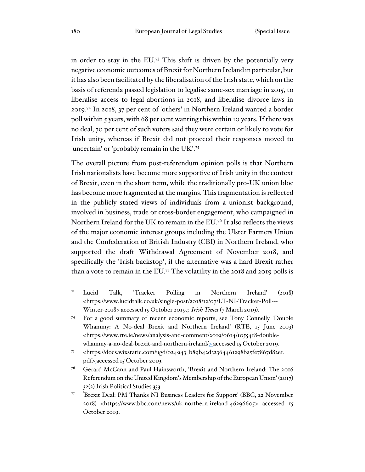in order to stay in the EU.<sup>73</sup> This shift is driven by the potentially very negative economic outcomes of Brexit for Northern Ireland in particular, but it has also been facilitated by the liberalisation of the Irish state, which on the basis of referenda passed legislation to legalise same-sex marriage in 2015, to liberalise access to legal abortions in 2018, and liberalise divorce laws in 2019.<sup>74</sup> In 2018, 37 per cent of 'others' in Northern Ireland wanted a border poll within 5 years, with 68 per cent wanting this within 10 years. If there was no deal, 70 per cent of such voters said they were certain or likely to vote for Irish unity, whereas if Brexit did not proceed their responses moved to 'uncertain' or 'probably remain in the UK'.<sup>75</sup>

The overall picture from post-referendum opinion polls is that Northern Irish nationalists have become more supportive of Irish unity in the context of Brexit, even in the short term, while the traditionally pro-UK union bloc has become more fragmented at the margins. This fragmentation is reflected in the publicly stated views of individuals from a unionist background, involved in business, trade or cross-border engagement, who campaigned in Northern Ireland for the UK to remain in the EU.<sup>76</sup> It also reflects the views of the major economic interest groups including the Ulster Farmers Union and the Confederation of British Industry (CBI) in Northern Ireland, who supported the draft Withdrawal Agreement of November 2018, and specifically the 'Irish backstop', if the alternative was a hard Brexit rather than a vote to remain in the EU.<sup>77</sup> The volatility in the 2018 and 2019 polls is

<sup>73</sup> Lucid Talk, 'Tracker Polling in Northern Ireland' (2018) <https://www.lucidtalk.co.uk/single-post/2018/12/07/LT-NI-Tracker-Poll--- Winter-2018> accessed 15 October 2019.; *Irish Times* (7 March 2019).

<sup>74</sup> For a good summary of recent economic reports, see Tony Connelly 'Double Whammy: A No-deal Brexit and Northern Ireland' (RTE, 15 June 2019) <https://www.rte.ie/news/analysis-and-comment/2019/0614/1055418-doublewhammy-a-no-deal-brexit-and-northern-ireland/ $\geq$ accessed 15 October 2019.

<sup>&</sup>lt;sup>75</sup> <https://docs.wixstatic.com/ugd/024943\_b89b42d32364461298ba5fe7867d82e1. pdf> accessed 15 October 2019.

<sup>76</sup> Gerard McCann and Paul Hainsworth, 'Brexit and Northern Ireland: The 2016 Referendum on the United Kingdom's Membership of the European Union' (2017) 32(2) Irish Political Studies 333.

<sup>77</sup> 'Brexit Deal: PM Thanks NI Business Leaders for Support' (BBC, 22 November 2018) <https://www.bbc.com/news/uk-northern-ireland-46296605> accessed 15 October 2019.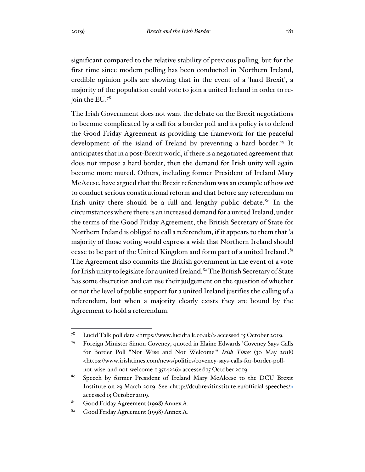significant compared to the relative stability of previous polling, but for the first time since modern polling has been conducted in Northern Ireland, credible opinion polls are showing that in the event of a 'hard Brexit', a majority of the population could vote to join a united Ireland in order to rejoin the EU.<sup>78</sup>

The Irish Government does not want the debate on the Brexit negotiations to become complicated by a call for a border poll and its policy is to defend the Good Friday Agreement as providing the framework for the peaceful development of the island of Ireland by preventing a hard border.<sup>79</sup> It anticipates that in a post-Brexit world, if there is a negotiated agreement that does not impose a hard border, then the demand for Irish unity will again become more muted. Others, including former President of Ireland Mary McAeese, have argued that the Brexit referendum was an example of how *not* to conduct serious constitutional reform and that before any referendum on Irish unity there should be a full and lengthy public debate.<sup>80</sup> In the circumstances where there is an increased demand for a united Ireland, under the terms of the Good Friday Agreement, the British Secretary of State for Northern Ireland is obliged to call a referendum, if it appears to them that 'a majority of those voting would express a wish that Northern Ireland should cease to be part of the United Kingdom and form part of a united Ireland'.<sup>81</sup> The Agreement also commits the British government in the event of a vote for Irish unity to legislate for a united Ireland.<sup>82</sup> The British Secretary of State has some discretion and can use their judgement on the question of whether or not the level of public support for a united Ireland justifies the calling of a referendum, but when a majority clearly exists they are bound by the Agreement to hold a referendum.

<sup>78</sup> Lucid Talk poll data <https://www.lucidtalk.co.uk/> accessed 15 October 2019.

<sup>79</sup> Foreign Minister Simon Coveney, quoted in Elaine Edwards 'Coveney Says Calls for Border Poll "Not Wise and Not Welcome"' *Irish Times* (30 May 2018) <https://www.irishtimes.com/news/politics/coveney-says-calls-for-border-pollnot-wise-and-not-welcome-1.3514226> accessed 15 October 2019.

<sup>&</sup>lt;sup>80</sup> Speech by former President of Ireland Mary McAleese to the DCU Brexit Institute on 29 March 2019. See <http://dcubrexitinstitute.eu/official-speeches/> accessed 15 October 2019.

<sup>81</sup> Good Friday Agreement (1998) Annex A.

<sup>82</sup> Good Friday Agreement (1998) Annex A.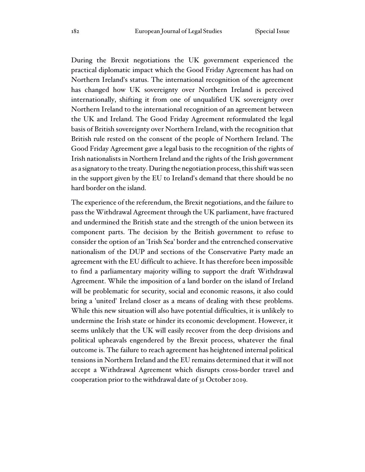During the Brexit negotiations the UK government experienced the practical diplomatic impact which the Good Friday Agreement has had on Northern Ireland's status. The international recognition of the agreement has changed how UK sovereignty over Northern Ireland is perceived internationally, shifting it from one of unqualified UK sovereignty over Northern Ireland to the international recognition of an agreement between the UK and Ireland. The Good Friday Agreement reformulated the legal basis of British sovereignty over Northern Ireland, with the recognition that British rule rested on the consent of the people of Northern Ireland. The Good Friday Agreement gave a legal basis to the recognition of the rights of Irish nationalists in Northern Ireland and the rights of the Irish government as a signatory to the treaty. During the negotiation process, this shift was seen in the support given by the EU to Ireland's demand that there should be no hard border on the island.

The experience of the referendum, the Brexit negotiations, and the failure to pass the Withdrawal Agreement through the UK parliament, have fractured and undermined the British state and the strength of the union between its component parts. The decision by the British government to refuse to consider the option of an 'Irish Sea' border and the entrenched conservative nationalism of the DUP and sections of the Conservative Party made an agreement with the EU difficult to achieve. It has therefore been impossible to find a parliamentary majority willing to support the draft Withdrawal Agreement. While the imposition of a land border on the island of Ireland will be problematic for security, social and economic reasons, it also could bring a 'united' Ireland closer as a means of dealing with these problems. While this new situation will also have potential difficulties, it is unlikely to undermine the Irish state or hinder its economic development. However, it seems unlikely that the UK will easily recover from the deep divisions and political upheavals engendered by the Brexit process, whatever the final outcome is. The failure to reach agreement has heightened internal political tensions in Northern Ireland and the EU remains determined that it will not accept a Withdrawal Agreement which disrupts cross-border travel and cooperation prior to the withdrawal date of 31 October 2019.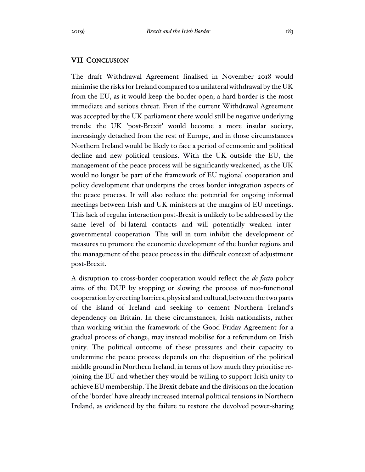# VII. CONCLUSION

The draft Withdrawal Agreement finalised in November 2018 would minimise the risks for Ireland compared to a unilateral withdrawal by the UK from the EU, as it would keep the border open; a hard border is the most immediate and serious threat. Even if the current Withdrawal Agreement was accepted by the UK parliament there would still be negative underlying trends: the UK 'post-Brexit' would become a more insular society, increasingly detached from the rest of Europe, and in those circumstances Northern Ireland would be likely to face a period of economic and political decline and new political tensions. With the UK outside the EU, the management of the peace process will be significantly weakened, as the UK would no longer be part of the framework of EU regional cooperation and policy development that underpins the cross border integration aspects of the peace process. It will also reduce the potential for ongoing informal meetings between Irish and UK ministers at the margins of EU meetings. This lack of regular interaction post-Brexit is unlikely to be addressed by the same level of bi-lateral contacts and will potentially weaken intergovernmental cooperation. This will in turn inhibit the development of measures to promote the economic development of the border regions and the management of the peace process in the difficult context of adjustment post-Brexit.

A disruption to cross-border cooperation would reflect the *de facto* policy aims of the DUP by stopping or slowing the process of neo-functional cooperation by erecting barriers, physical and cultural, between the two parts of the island of Ireland and seeking to cement Northern Ireland's dependency on Britain. In these circumstances, Irish nationalists, rather than working within the framework of the Good Friday Agreement for a gradual process of change, may instead mobilise for a referendum on Irish unity. The political outcome of these pressures and their capacity to undermine the peace process depends on the disposition of the political middle ground in Northern Ireland, in terms of how much they prioritise rejoining the EU and whether they would be willing to support Irish unity to achieve EU membership. The Brexit debate and the divisions on the location of the 'border' have already increased internal political tensions in Northern Ireland, as evidenced by the failure to restore the devolved power-sharing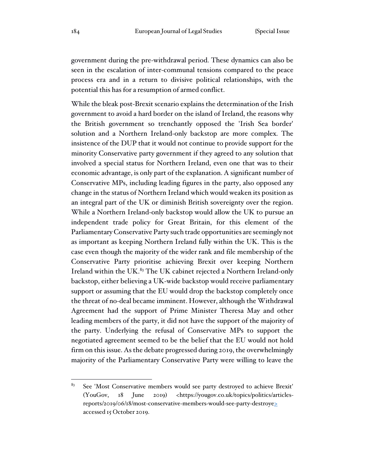government during the pre-withdrawal period. These dynamics can also be seen in the escalation of inter-communal tensions compared to the peace process era and in a return to divisive political relationships, with the potential this has for a resumption of armed conflict.

While the bleak post-Brexit scenario explains the determination of the Irish government to avoid a hard border on the island of Ireland, the reasons why the British government so trenchantly opposed the 'Irish Sea border' solution and a Northern Ireland-only backstop are more complex. The insistence of the DUP that it would not continue to provide support for the minority Conservative party government if they agreed to any solution that involved a special status for Northern Ireland, even one that was to their economic advantage, is only part of the explanation. A significant number of Conservative MPs, including leading figures in the party, also opposed any change in the status of Northern Ireland which would weaken its position as an integral part of the UK or diminish British sovereignty over the region. While a Northern Ireland-only backstop would allow the UK to pursue an independent trade policy for Great Britain, for this element of the Parliamentary Conservative Party such trade opportunities are seemingly not as important as keeping Northern Ireland fully within the UK. This is the case even though the majority of the wider rank and file membership of the Conservative Party prioritise achieving Brexit over keeping Northern Ireland within the UK.<sup>83</sup> The UK cabinet rejected a Northern Ireland-only backstop, either believing a UK-wide backstop would receive parliamentary support or assuming that the EU would drop the backstop completely once the threat of no-deal became imminent. However, although the Withdrawal Agreement had the support of Prime Minister Theresa May and other leading members of the party, it did not have the support of the majority of the party. Underlying the refusal of Conservative MPs to support the negotiated agreement seemed to be the belief that the EU would not hold firm on this issue. As the debate progressed during 2019, the overwhelmingly majority of the Parliamentary Conservative Party were willing to leave the

<sup>&</sup>lt;sup>83</sup> See 'Most Conservative members would see party destroyed to achieve Brexit' (YouGov, 18 June 2019) <https://yougov.co.uk/topics/politics/articlesreports/2019/06/18/most-conservative-members-would-see-party-destroye> accessed 15 October 2019.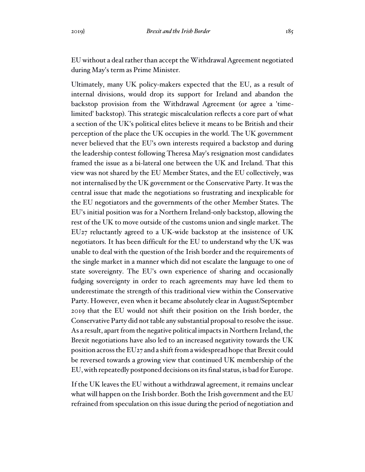EU without a deal rather than accept the Withdrawal Agreement negotiated during May's term as Prime Minister.

Ultimately, many UK policy-makers expected that the EU, as a result of internal divisions, would drop its support for Ireland and abandon the backstop provision from the Withdrawal Agreement (or agree a 'timelimited' backstop). This strategic miscalculation reflects a core part of what a section of the UK's political elites believe it means to be British and their perception of the place the UK occupies in the world. The UK government never believed that the EU's own interests required a backstop and during the leadership contest following Theresa May's resignation most candidates framed the issue as a bi-lateral one between the UK and Ireland. That this view was not shared by the EU Member States, and the EU collectively, was not internalised by the UK government or the Conservative Party. It was the central issue that made the negotiations so frustrating and inexplicable for the EU negotiators and the governments of the other Member States. The EU's initial position was for a Northern Ireland-only backstop, allowing the rest of the UK to move outside of the customs union and single market. The EU27 reluctantly agreed to a UK-wide backstop at the insistence of UK negotiators. It has been difficult for the EU to understand why the UK was unable to deal with the question of the Irish border and the requirements of the single market in a manner which did not escalate the language to one of state sovereignty. The EU's own experience of sharing and occasionally fudging sovereignty in order to reach agreements may have led them to underestimate the strength of this traditional view within the Conservative Party. However, even when it became absolutely clear in August/September 2019 that the EU would not shift their position on the Irish border, the Conservative Party did not table any substantial proposal to resolve the issue. As a result, apart from the negative political impacts in Northern Ireland, the Brexit negotiations have also led to an increased negativity towards the UK position across the EU27 and a shift from a widespread hope that Brexit could be reversed towards a growing view that continued UK membership of the EU, with repeatedly postponed decisions on its final status, is bad for Europe.

If the UK leaves the EU without a withdrawal agreement, it remains unclear what will happen on the Irish border. Both the Irish government and the EU refrained from speculation on this issue during the period of negotiation and